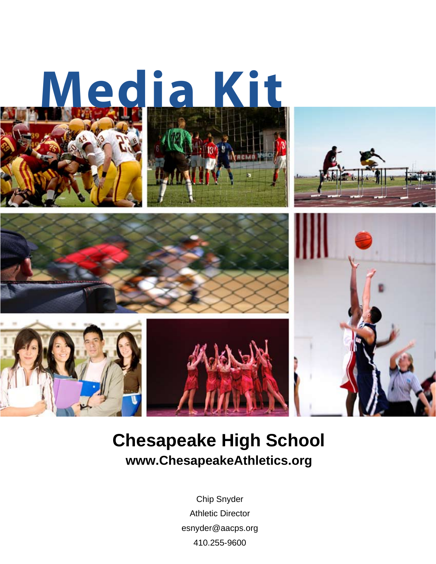

## **Chesapeake High School www.ChesapeakeAthletics.org**

Chip Snyder Athletic Director esnyder@aacps.org 410.255-9600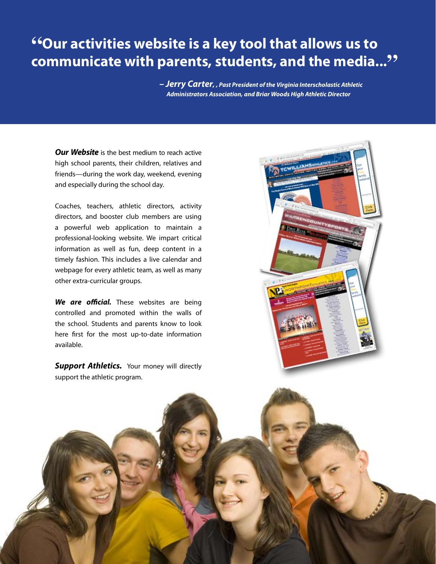## **"Our activities website is a key tool that allows us to communicate with parents, students, and the media..."**

 *– Jerry Carter, , Past President of the Virginia Interscholastic Athletic Administrators Association, and Briar Woods High Athletic Director*

*Our Website* is the best medium to reach active high school parents, their children, relatives and friends—during the work day, weekend, evening and especially during the school day.

Coaches, teachers, athletic directors, activity directors, and booster club members are using a powerful web application to maintain a professional-looking website. We impart critical information as well as fun, deep content in a timely fashion. This includes a live calendar and webpage for every athletic team, as well as many other extra-curricular groups.

*We are official.* These websites are being controlled and promoted within the walls of the school. Students and parents know to look here first for the most up-to-date information available.

**Support Athletics.** Your money will directly support the athletic program.

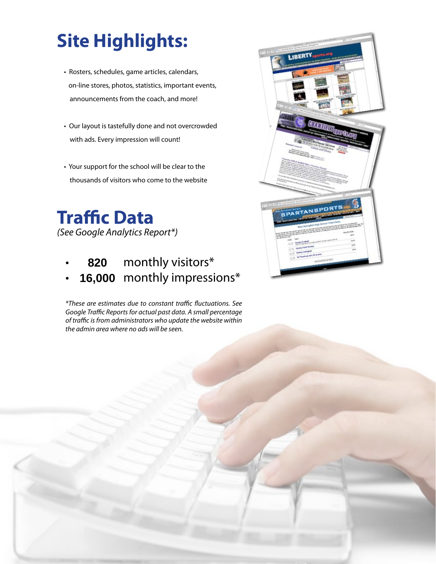# **Site Highlights:**

- Rosters, schedules, game articles, calendars, on-line stores, photos, statistics, important events, announcements from the coach, and more!
- Our layout is tastefully done and not overcrowded with ads. Every impression will count!
- Your support for the school will be clear to the thousands of visitors who come to the website

**Traffic Data** *(See Google Analytics Report\*)*

- monthly visitors\* **820**
- **16,000** monthly impressions\*

*\*These are estimates due to constant traffic fluctuations. See Google Traffic Reports for actual past data. A small percentage of traffic is from administrators who update the website within the admin area where no ads will be seen.*

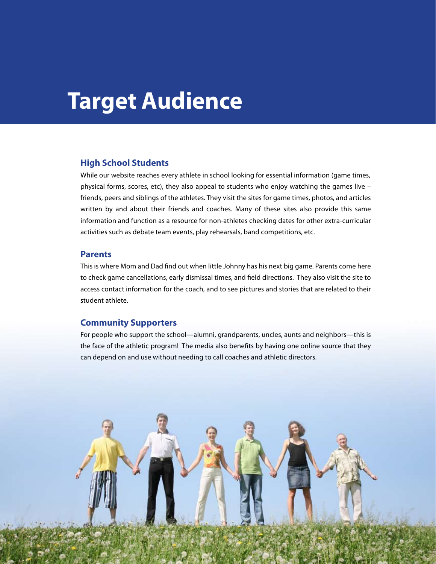# **Target Audience**

#### **High School Students**

While our website reaches every athlete in school looking for essential information (game times, physical forms, scores, etc), they also appeal to students who enjoy watching the games live – friends, peers and siblings of the athletes. They visit the sites for game times, photos, and articles written by and about their friends and coaches. Many of these sites also provide this same information and function as a resource for non-athletes checking dates for other extra-curricular activities such as debate team events, play rehearsals, band competitions, etc.

#### **Parents**

This is where Mom and Dad find out when little Johnny has his next big game. Parents come here to check game cancellations, early dismissal times, and field directions. They also visit the site to access contact information for the coach, and to see pictures and stories that are related to their student athlete.

#### **Community Supporters**

For people who support the school—alumni, grandparents, uncles, aunts and neighbors—this is the face of the athletic program! The media also benefits by having one online source that they can depend on and use without needing to call coaches and athletic directors.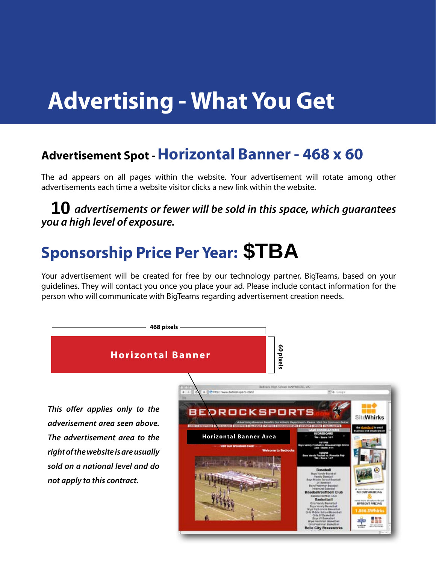# **Advertising - What You Get**

## **Advertisement Spot - Horizontal Banner - 468 x 60**

The ad appears on all pages within the website. Your advertisement will rotate among other advertisements each time a website visitor clicks a new link within the website.

 *advertisements or fewer will be sold in this space, which guarantees you a high level of exposure.* **10** advertisements or fewer will be sold in this spaction a high level of exposure.<br> **Sponsorship Price Per Year:** \$TBA

Your advertisement will be created for free by our technology partner, BigTeams, based on your guidelines. They will contact you once you place your ad. Please include contact information for the person who will communicate with BigTeams regarding advertisement creation needs.

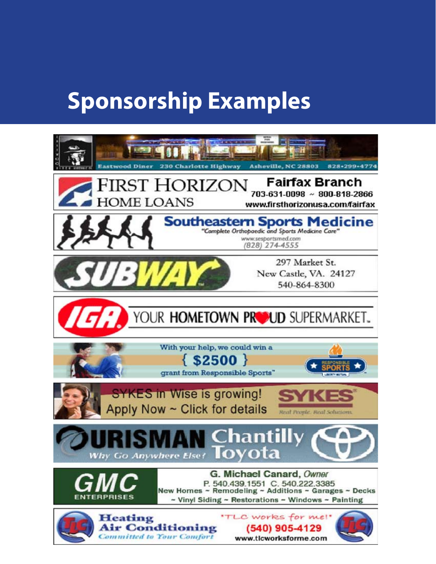# **Sponsorship Examples**